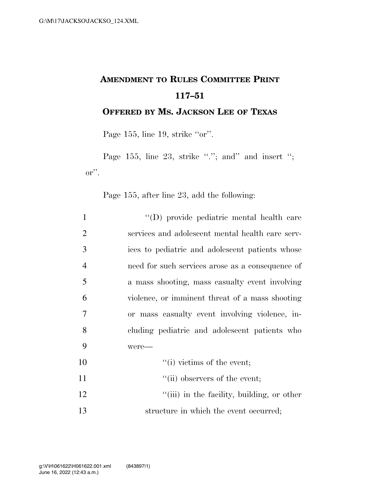## **AMENDMENT TO RULES COMMITTEE PRINT 117–51**

**OFFERED BY MS. JACKSON LEE OF TEXAS**

Page 155, line 19, strike "or".

Page 155, line 23, strike ""; and" and insert "; or''.

Page 155, after line 23, add the following:

| $\mathbf{1}$   | "(D) provide pediatric mental health care        |
|----------------|--------------------------------------------------|
| $\overline{2}$ | services and adolescent mental health care serv- |
| 3              | ices to pediatric and adolescent patients whose  |
| $\overline{4}$ | need for such services arose as a consequence of |
| 5              | a mass shooting, mass casualty event involving   |
| 6              | violence, or imminent threat of a mass shooting  |
| 7              | or mass casualty event involving violence, in-   |
| 8              | cluding pediatric and adolescent patients who    |
| 9              | were-                                            |
| 10             | $\lq\lq$ (i) victims of the event;               |
| 11             | $\lq\lq$ (ii) observers of the event;            |
| 12             | "(iii) in the facility, building, or other       |
| 13             | structure in which the event occurred;           |